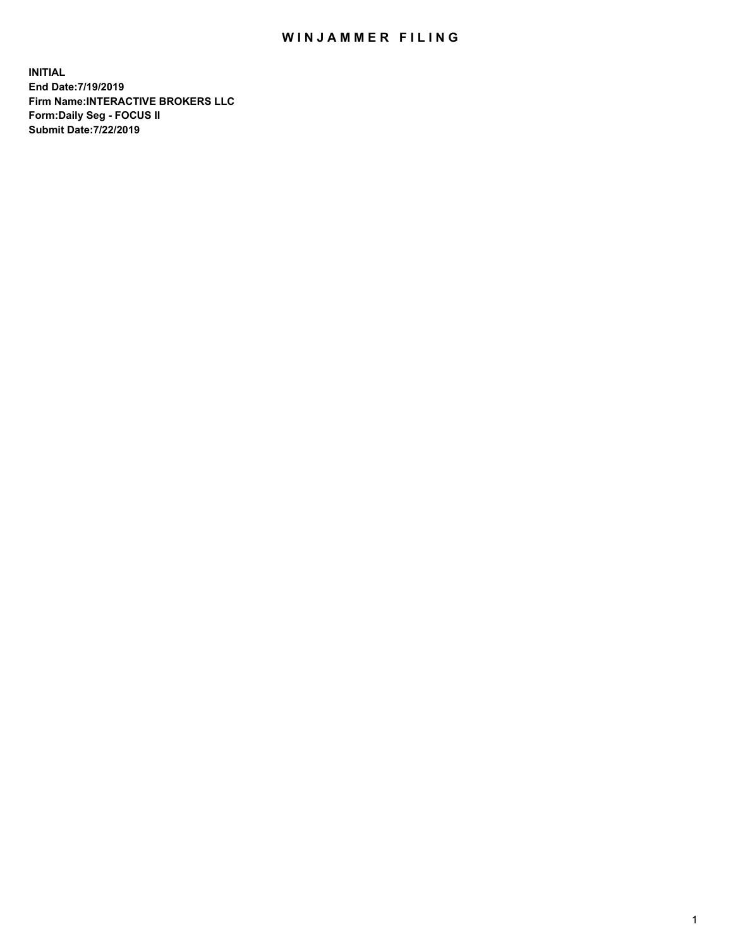## WIN JAMMER FILING

**INITIAL End Date:7/19/2019 Firm Name:INTERACTIVE BROKERS LLC Form:Daily Seg - FOCUS II Submit Date:7/22/2019**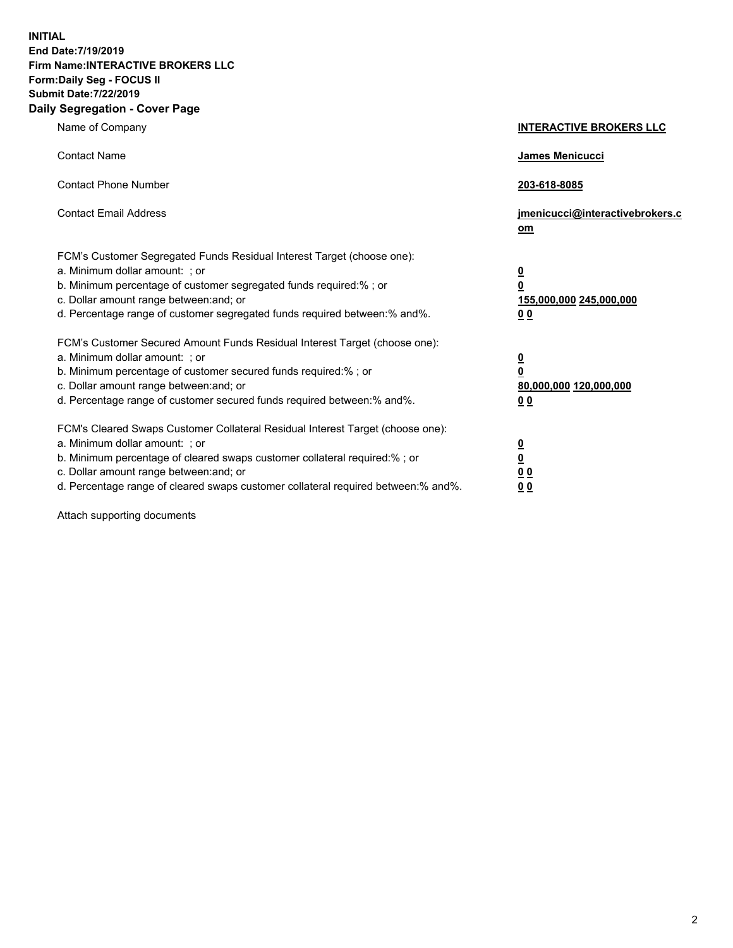**INITIAL End Date:7/19/2019 Firm Name:INTERACTIVE BROKERS LLC Form:Daily Seg - FOCUS II Submit Date:7/22/2019 Daily Segregation - Cover Page**

| Name of Company                                                                                                                                                                                                                                                                                                                | <b>INTERACTIVE BROKERS LLC</b>                                                                  |
|--------------------------------------------------------------------------------------------------------------------------------------------------------------------------------------------------------------------------------------------------------------------------------------------------------------------------------|-------------------------------------------------------------------------------------------------|
| <b>Contact Name</b>                                                                                                                                                                                                                                                                                                            | James Menicucci                                                                                 |
| <b>Contact Phone Number</b>                                                                                                                                                                                                                                                                                                    | 203-618-8085                                                                                    |
| <b>Contact Email Address</b>                                                                                                                                                                                                                                                                                                   | jmenicucci@interactivebrokers.c<br>om                                                           |
| FCM's Customer Segregated Funds Residual Interest Target (choose one):<br>a. Minimum dollar amount: ; or<br>b. Minimum percentage of customer segregated funds required:% ; or<br>c. Dollar amount range between: and; or<br>d. Percentage range of customer segregated funds required between:% and%.                         | $\overline{\mathbf{0}}$<br>$\overline{\mathbf{0}}$<br>155,000,000 245,000,000<br>0 <sub>0</sub> |
| FCM's Customer Secured Amount Funds Residual Interest Target (choose one):<br>a. Minimum dollar amount: ; or<br>b. Minimum percentage of customer secured funds required:% ; or<br>c. Dollar amount range between: and; or<br>d. Percentage range of customer secured funds required between:% and%.                           | $\overline{\mathbf{0}}$<br>0<br>80,000,000 120,000,000<br>0 <sub>0</sub>                        |
| FCM's Cleared Swaps Customer Collateral Residual Interest Target (choose one):<br>a. Minimum dollar amount: ; or<br>b. Minimum percentage of cleared swaps customer collateral required:% ; or<br>c. Dollar amount range between: and; or<br>d. Percentage range of cleared swaps customer collateral required between:% and%. | $\overline{\mathbf{0}}$<br><u>0</u><br>$\underline{0}$ $\underline{0}$<br>00                    |

Attach supporting documents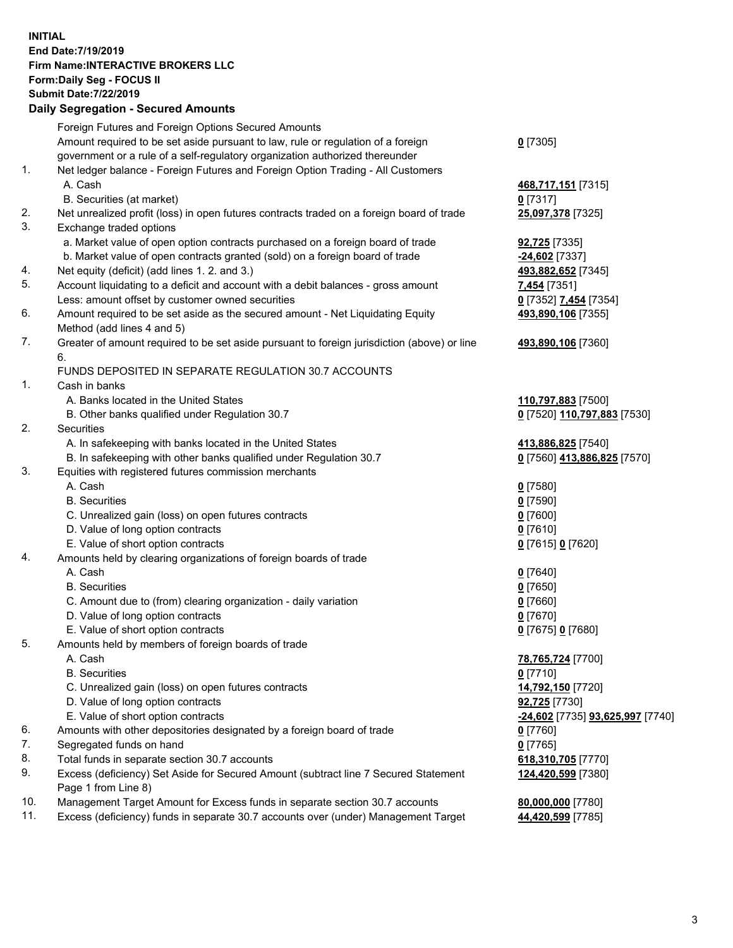## **INITIAL End Date:7/19/2019 Firm Name:INTERACTIVE BROKERS LLC Form:Daily Seg - FOCUS II Submit Date:7/22/2019 Daily Segregation - Secured Amounts**

|     | Daily Segregation - Secured Amounts                                                         |                                                |
|-----|---------------------------------------------------------------------------------------------|------------------------------------------------|
|     | Foreign Futures and Foreign Options Secured Amounts                                         |                                                |
|     | Amount required to be set aside pursuant to law, rule or regulation of a foreign            | $0$ [7305]                                     |
|     | government or a rule of a self-regulatory organization authorized thereunder                |                                                |
| 1.  | Net ledger balance - Foreign Futures and Foreign Option Trading - All Customers             |                                                |
|     | A. Cash                                                                                     | 468,717,151 [7315]                             |
|     | B. Securities (at market)                                                                   | $0$ [7317]                                     |
| 2.  | Net unrealized profit (loss) in open futures contracts traded on a foreign board of trade   | 25,097,378 [7325]                              |
| 3.  | Exchange traded options                                                                     |                                                |
|     | a. Market value of open option contracts purchased on a foreign board of trade              | <b>92,725</b> [7335]                           |
|     | b. Market value of open contracts granted (sold) on a foreign board of trade                | -24,602 [7337]                                 |
| 4.  | Net equity (deficit) (add lines 1. 2. and 3.)                                               | 493,882,652 [7345]                             |
| 5.  | Account liquidating to a deficit and account with a debit balances - gross amount           | 7,454 [7351]                                   |
|     | Less: amount offset by customer owned securities                                            | 0 [7352] 7,454 [7354]                          |
| 6.  | Amount required to be set aside as the secured amount - Net Liquidating Equity              | 493,890,106 [7355]                             |
|     | Method (add lines 4 and 5)                                                                  |                                                |
| 7.  | Greater of amount required to be set aside pursuant to foreign jurisdiction (above) or line | 493,890,106 [7360]                             |
|     | 6.                                                                                          |                                                |
|     | FUNDS DEPOSITED IN SEPARATE REGULATION 30.7 ACCOUNTS                                        |                                                |
| 1.  | Cash in banks                                                                               |                                                |
|     | A. Banks located in the United States                                                       | 110,797,883 [7500]                             |
|     | B. Other banks qualified under Regulation 30.7                                              | 0 [7520] 110,797,883 [7530]                    |
| 2.  | Securities                                                                                  |                                                |
|     | A. In safekeeping with banks located in the United States                                   | 413,886,825 [7540]                             |
| 3.  | B. In safekeeping with other banks qualified under Regulation 30.7                          | 0 [7560] 413,886,825 [7570]                    |
|     | Equities with registered futures commission merchants<br>A. Cash                            |                                                |
|     | <b>B.</b> Securities                                                                        | $0$ [7580]                                     |
|     |                                                                                             | $0$ [7590]                                     |
|     | C. Unrealized gain (loss) on open futures contracts<br>D. Value of long option contracts    | $0$ [7600]<br>$0$ [7610]                       |
|     | E. Value of short option contracts                                                          | 0 [7615] 0 [7620]                              |
| 4.  | Amounts held by clearing organizations of foreign boards of trade                           |                                                |
|     | A. Cash                                                                                     | $0$ [7640]                                     |
|     | <b>B.</b> Securities                                                                        | $0$ [7650]                                     |
|     | C. Amount due to (from) clearing organization - daily variation                             | $0$ [7660]                                     |
|     | D. Value of long option contracts                                                           | $0$ [7670]                                     |
|     | E. Value of short option contracts                                                          | 0 [7675] 0 [7680]                              |
| 5.  | Amounts held by members of foreign boards of trade                                          |                                                |
|     | A. Cash                                                                                     | 78,765,724 [7700]                              |
|     | <b>B.</b> Securities                                                                        | $0$ [7710]                                     |
|     | C. Unrealized gain (loss) on open futures contracts                                         | 14,792,150 [7720]                              |
|     | D. Value of long option contracts                                                           | 92,725 [7730]                                  |
|     | E. Value of short option contracts                                                          | <u>-24,602</u> [7735] <u>93,625,997</u> [7740] |
| 6.  | Amounts with other depositories designated by a foreign board of trade                      | 0 [7760]                                       |
| 7.  | Segregated funds on hand                                                                    | $0$ [7765]                                     |
| 8.  | Total funds in separate section 30.7 accounts                                               | 618,310,705 [7770]                             |
| 9.  | Excess (deficiency) Set Aside for Secured Amount (subtract line 7 Secured Statement         | 124,420,599 [7380]                             |
|     | Page 1 from Line 8)                                                                         |                                                |
| 10. | Management Target Amount for Excess funds in separate section 30.7 accounts                 | 80,000,000 [7780]                              |
| 11. | Excess (deficiency) funds in separate 30.7 accounts over (under) Management Target          | 44,420,599 [7785]                              |
|     |                                                                                             |                                                |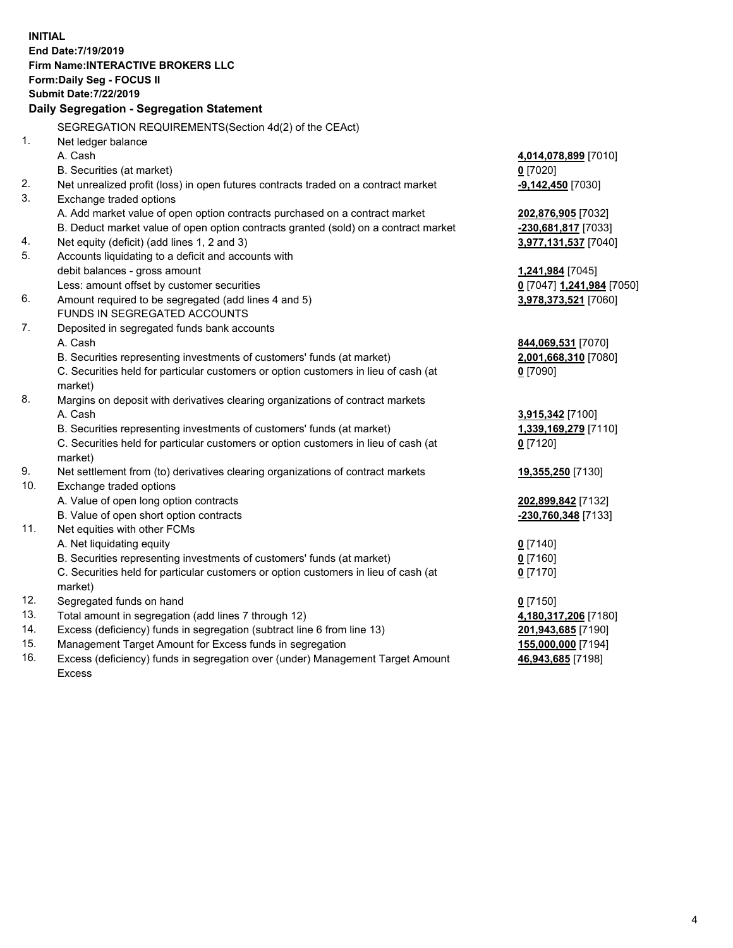**INITIAL End Date:7/19/2019 Firm Name:INTERACTIVE BROKERS LLC Form:Daily Seg - FOCUS II Submit Date:7/22/2019 Daily Segregation - Segregation Statement** SEGREGATION REQUIREMENTS(Section 4d(2) of the CEAct) 1. Net ledger balance A. Cash **4,014,078,899** [7010] B. Securities (at market) **0** [7020] 2. Net unrealized profit (loss) in open futures contracts traded on a contract market **-9,142,450** [7030] 3. Exchange traded options A. Add market value of open option contracts purchased on a contract market **202,876,905** [7032] B. Deduct market value of open option contracts granted (sold) on a contract market **-230,681,817** [7033] 4. Net equity (deficit) (add lines 1, 2 and 3) **3,977,131,537** [7040] 5. Accounts liquidating to a deficit and accounts with debit balances - gross amount **1,241,984** [7045] Less: amount offset by customer securities **0** [7047] **1,241,984** [7050] 6. Amount required to be segregated (add lines 4 and 5) **3,978,373,521** [7060] FUNDS IN SEGREGATED ACCOUNTS 7. Deposited in segregated funds bank accounts A. Cash **844,069,531** [7070] B. Securities representing investments of customers' funds (at market) **2,001,668,310** [7080] C. Securities held for particular customers or option customers in lieu of cash (at market) **0** [7090] 8. Margins on deposit with derivatives clearing organizations of contract markets A. Cash **3,915,342** [7100] B. Securities representing investments of customers' funds (at market) **1,339,169,279** [7110] C. Securities held for particular customers or option customers in lieu of cash (at market) **0** [7120] 9. Net settlement from (to) derivatives clearing organizations of contract markets **19,355,250** [7130] 10. Exchange traded options A. Value of open long option contracts **202,899,842** [7132] B. Value of open short option contracts **-230,760,348** [7133] 11. Net equities with other FCMs A. Net liquidating equity **0** [7140] B. Securities representing investments of customers' funds (at market) **0** [7160] C. Securities held for particular customers or option customers in lieu of cash (at market) **0** [7170] 12. Segregated funds on hand **0** [7150] 13. Total amount in segregation (add lines 7 through 12) **4,180,317,206** [7180] 14. Excess (deficiency) funds in segregation (subtract line 6 from line 13) **201,943,685** [7190] 15. Management Target Amount for Excess funds in segregation **155,000,000** [7194]

16. Excess (deficiency) funds in segregation over (under) Management Target Amount Excess

**46,943,685** [7198]